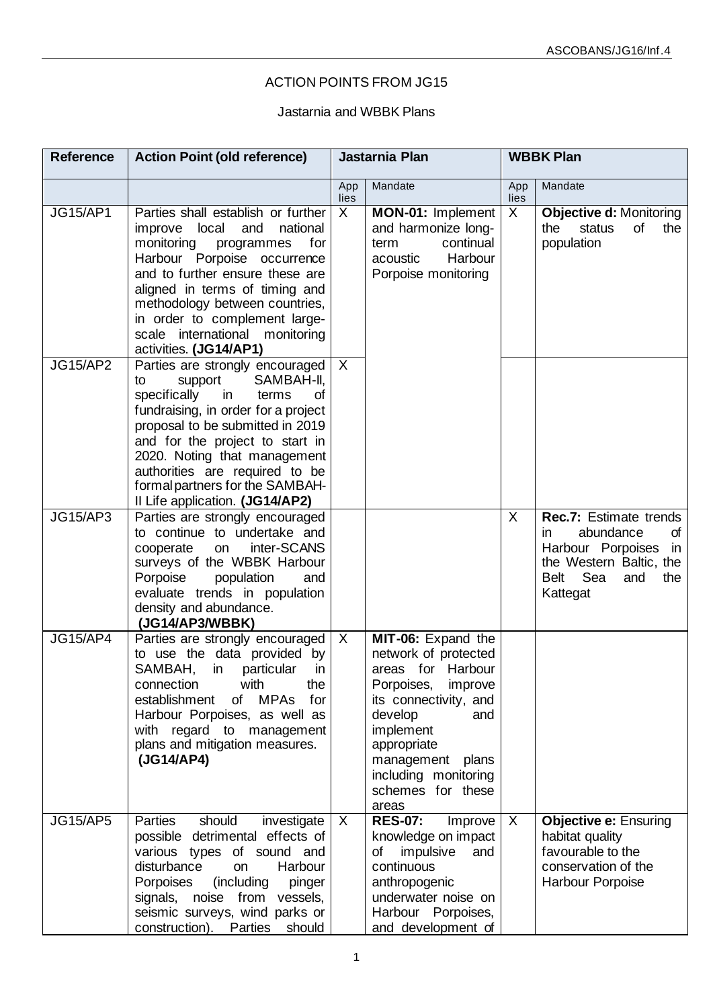## ACTION POINTS FROM JG15

## Jastarnia and WBBK Plans

| <b>Reference</b> | <b>Action Point (old reference)</b>                                                                                                                                                                                                                                                                                                                       | Jastarnia Plan |                                                                                                                                                                                                                                           | <b>WBBK Plan</b> |                                                                                                                                                     |
|------------------|-----------------------------------------------------------------------------------------------------------------------------------------------------------------------------------------------------------------------------------------------------------------------------------------------------------------------------------------------------------|----------------|-------------------------------------------------------------------------------------------------------------------------------------------------------------------------------------------------------------------------------------------|------------------|-----------------------------------------------------------------------------------------------------------------------------------------------------|
|                  |                                                                                                                                                                                                                                                                                                                                                           | App<br>lies    | Mandate                                                                                                                                                                                                                                   | App<br>lies      | Mandate                                                                                                                                             |
| <b>JG15/AP1</b>  | Parties shall establish or further<br>improve local<br>and<br>national<br>monitoring<br>for<br>programmes<br>Harbour Porpoise occurrence<br>and to further ensure these are<br>aligned in terms of timing and<br>methodology between countries,<br>in order to complement large-<br>scale international<br>monitoring<br>activities. (JG14/AP1)           | $\overline{X}$ | MON-01: Implement<br>and harmonize long-<br>continual<br>term<br>Harbour<br>acoustic<br>Porpoise monitoring                                                                                                                               | X                | <b>Objective d: Monitoring</b><br>status<br>of<br>the<br>the<br>population                                                                          |
| <b>JG15/AP2</b>  | Parties are strongly encouraged<br>SAMBAH-II,<br>support<br>to<br>specifically<br>terms<br>in<br>0f<br>fundraising, in order for a project<br>proposal to be submitted in 2019<br>and for the project to start in<br>2020. Noting that management<br>authorities are required to be<br>formal partners for the SAMBAH-<br>Il Life application. (JG14/AP2) | $\mathsf{X}$   |                                                                                                                                                                                                                                           |                  |                                                                                                                                                     |
| <b>JG15/AP3</b>  | Parties are strongly encouraged<br>to continue to undertake and<br>inter-SCANS<br>cooperate<br>on<br>surveys of the WBBK Harbour<br>Porpoise<br>population<br>and<br>evaluate trends in population<br>density and abundance.<br>(JG14/AP3/WBBK)                                                                                                           |                |                                                                                                                                                                                                                                           | X                | <b>Rec.7: Estimate trends</b><br>abundance<br>of<br>in.<br>Harbour Porpoises in<br>the Western Baltic, the<br>Sea<br>Belt<br>the<br>and<br>Kattegat |
| <b>JG15/AP4</b>  | Parties are strongly encouraged   X<br>to use the data provided by<br>SAMBAH,<br>particular<br>in<br>in<br>the<br>with<br>connection<br>establishment<br>of MPAs<br>for<br>Harbour Porpoises, as well as<br>with regard to management<br>plans and mitigation measures.<br>(JG14/AP4)                                                                     |                | MIT-06: Expand the<br>network of protected<br>areas for Harbour<br>Porpoises, improve<br>its connectivity, and<br>develop<br>and<br>implement<br>appropriate<br>management<br>plans<br>including monitoring<br>schemes for these<br>areas |                  |                                                                                                                                                     |
| <b>JG15/AP5</b>  | should<br>Parties<br>investigate<br>possible detrimental effects of<br>various types of sound and<br>disturbance<br>Harbour<br>on<br>Porpoises<br>(including<br>pinger<br>signals, noise from vessels,<br>seismic surveys, wind parks or<br>construction). Parties<br>should                                                                              | $\mathsf{X}$   | <b>RES-07:</b><br>Improve<br>knowledge on impact<br>impulsive<br>of<br>and<br>continuous<br>anthropogenic<br>underwater noise on<br>Harbour Porpoises,<br>and development of                                                              | X                | <b>Objective e: Ensuring</b><br>habitat quality<br>favourable to the<br>conservation of the<br><b>Harbour Porpoise</b>                              |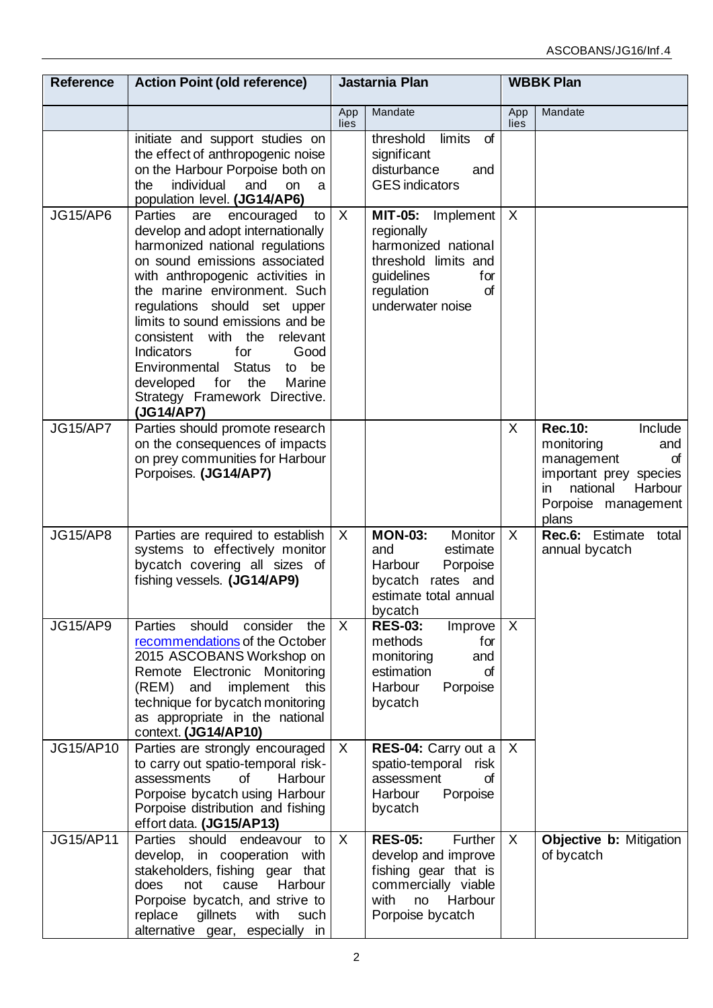| <b>Reference</b> | <b>Action Point (old reference)</b>                                                                                                                                                                                                                                                                                                                                                                                                                                                    |              | Jastarnia Plan                                                                                                                               |             | <b>WBBK Plan</b>                                                                                                                                           |  |
|------------------|----------------------------------------------------------------------------------------------------------------------------------------------------------------------------------------------------------------------------------------------------------------------------------------------------------------------------------------------------------------------------------------------------------------------------------------------------------------------------------------|--------------|----------------------------------------------------------------------------------------------------------------------------------------------|-------------|------------------------------------------------------------------------------------------------------------------------------------------------------------|--|
|                  |                                                                                                                                                                                                                                                                                                                                                                                                                                                                                        | App<br>lies  | Mandate                                                                                                                                      | App<br>lies | Mandate                                                                                                                                                    |  |
|                  | initiate and support studies on<br>the effect of anthropogenic noise<br>on the Harbour Porpoise both on<br>individual<br>and<br>the<br>on<br>a<br>population level. (JG14/AP6)                                                                                                                                                                                                                                                                                                         |              | limits<br>of<br>threshold<br>significant<br>disturbance<br>and<br><b>GES</b> indicators                                                      |             |                                                                                                                                                            |  |
| <b>JG15/AP6</b>  | Parties<br>encouraged<br>are<br>to<br>develop and adopt internationally<br>harmonized national regulations<br>on sound emissions associated<br>with anthropogenic activities in<br>the marine environment. Such<br>regulations should set upper<br>limits to sound emissions and be<br>consistent with the<br>relevant<br>for<br>Good<br><b>Indicators</b><br>Environmental<br><b>Status</b><br>to be<br>for the<br>developed<br>Marine<br>Strategy Framework Directive.<br>(JG14/AP7) | $\mathsf{X}$ | MIT-05: Implement<br>regionally<br>harmonized national<br>threshold limits and<br>guidelines<br>for<br>regulation<br>of<br>underwater noise  | $\sf X$     |                                                                                                                                                            |  |
| <b>JG15/AP7</b>  | Parties should promote research<br>on the consequences of impacts<br>on prey communities for Harbour<br>Porpoises. (JG14/AP7)                                                                                                                                                                                                                                                                                                                                                          |              |                                                                                                                                              | X           | <b>Rec.10:</b><br>Include<br>monitoring<br>and<br>of<br>management<br>important prey species<br>national<br>Harbour<br>in.<br>Porpoise management<br>plans |  |
| <b>JG15/AP8</b>  | Parties are required to establish<br>systems to effectively monitor<br>bycatch covering all sizes of<br>fishing vessels. (JG14/AP9)                                                                                                                                                                                                                                                                                                                                                    | $\mathsf{X}$ | <b>MON-03:</b><br>Monitor<br>and<br>estimate<br>Harbour<br>Porpoise<br>bycatch rates and<br>estimate total annual<br>bycatch                 | X           | <b>Rec.6:</b> Estimate total<br>annual bycatch                                                                                                             |  |
| <b>JG15/AP9</b>  | Parties<br>should<br>consider<br>the<br>recommendations of the October<br>2015 ASCOBANS Workshop on<br>Remote Electronic Monitoring<br>(REM) and<br>implement this<br>technique for bycatch monitoring<br>as appropriate in the national<br>context. (JG14/AP10)                                                                                                                                                                                                                       | $\mathsf{X}$ | <b>RES-03:</b><br>Improve<br>methods<br>for<br>monitoring<br>and<br>estimation<br>σf<br>Harbour<br>Porpoise<br>bycatch                       | X           |                                                                                                                                                            |  |
| JG15/AP10        | Parties are strongly encouraged<br>to carry out spatio-temporal risk-<br>assessments<br>of<br>Harbour<br>Porpoise bycatch using Harbour<br>Porpoise distribution and fishing<br>effort data. (JG15/AP13)                                                                                                                                                                                                                                                                               | $\mathsf{X}$ | RES-04: Carry out a<br>spatio-temporal risk<br>assessment<br>σf<br>Harbour<br>Porpoise<br>bycatch                                            | $\times$    |                                                                                                                                                            |  |
| <b>JG15/AP11</b> | Parties should endeavour to<br>develop, in cooperation with<br>stakeholders, fishing gear that<br>Harbour<br>cause<br>does<br>not<br>Porpoise bycatch, and strive to<br>replace<br>gillnets<br>with<br>such<br>alternative gear, especially in                                                                                                                                                                                                                                         | $\mathsf{X}$ | <b>RES-05:</b><br>Further<br>develop and improve<br>fishing gear that is<br>commercially viable<br>Harbour<br>with<br>no<br>Porpoise bycatch | X           | Objective b: Mitigation<br>of bycatch                                                                                                                      |  |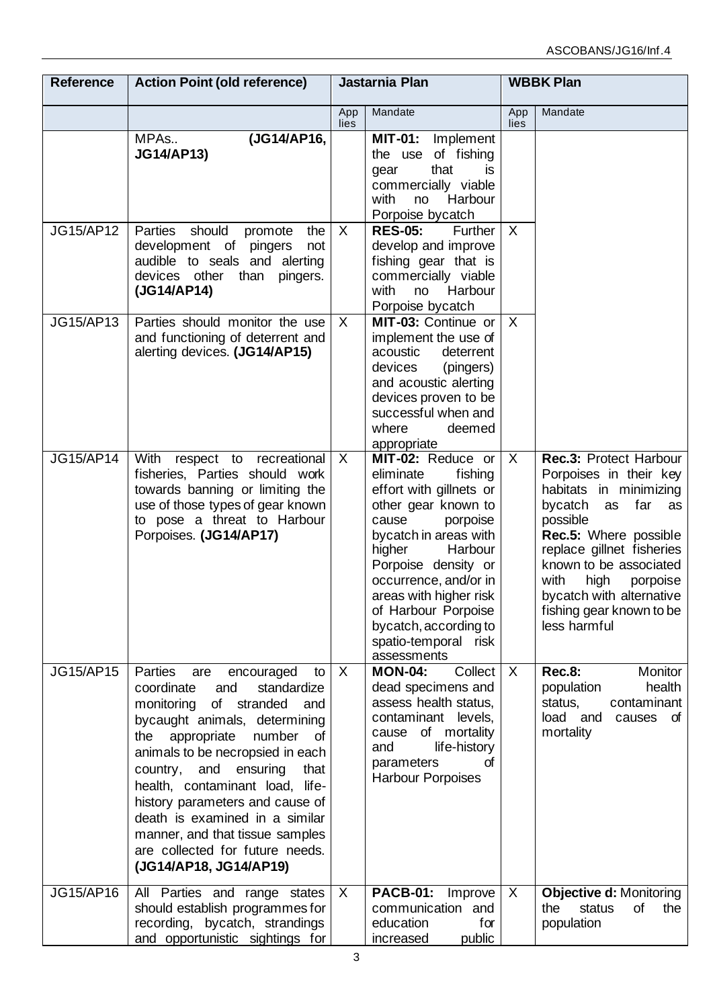| <b>Reference</b> | <b>Action Point (old reference)</b>                                                                                                                                                                                                                                                                                                                                                                                                                                  | Jastarnia Plan |                                                                                                                                                                                                                                                                                                                                 | <b>WBBK Plan</b> |                                                                                                                                                                                                                                                                                                       |
|------------------|----------------------------------------------------------------------------------------------------------------------------------------------------------------------------------------------------------------------------------------------------------------------------------------------------------------------------------------------------------------------------------------------------------------------------------------------------------------------|----------------|---------------------------------------------------------------------------------------------------------------------------------------------------------------------------------------------------------------------------------------------------------------------------------------------------------------------------------|------------------|-------------------------------------------------------------------------------------------------------------------------------------------------------------------------------------------------------------------------------------------------------------------------------------------------------|
|                  |                                                                                                                                                                                                                                                                                                                                                                                                                                                                      | App<br>lies    | Mandate                                                                                                                                                                                                                                                                                                                         | App<br>lies      | Mandate                                                                                                                                                                                                                                                                                               |
|                  | (JG14/AP16,<br>MPAs<br><b>JG14/AP13)</b>                                                                                                                                                                                                                                                                                                                                                                                                                             |                | MIT-01: Implement<br>the use of fishing<br>that<br>is<br>gear<br>commercially viable<br>with<br>Harbour<br>no<br>Porpoise bycatch                                                                                                                                                                                               |                  |                                                                                                                                                                                                                                                                                                       |
| <b>JG15/AP12</b> | Parties<br>should<br>the<br>promote<br>development of pingers<br>not<br>audible to seals and alerting<br>devices other<br>than<br>pingers.<br>(JG14/AP14)                                                                                                                                                                                                                                                                                                            | $\mathsf{X}$   | <b>RES-05:</b><br>Further<br>develop and improve<br>fishing gear that is<br>commercially viable<br>with<br>Harbour<br>no<br>Porpoise bycatch                                                                                                                                                                                    | $\sf X$          |                                                                                                                                                                                                                                                                                                       |
| JG15/AP13        | Parties should monitor the use<br>and functioning of deterrent and<br>alerting devices. (JG14/AP15)                                                                                                                                                                                                                                                                                                                                                                  | $\mathsf{X}$   | MIT-03: Continue or<br>implement the use of<br>acoustic<br>deterrent<br>devices<br>(pingers)<br>and acoustic alerting<br>devices proven to be<br>successful when and<br>where<br>deemed<br>appropriate                                                                                                                          | $\sf X$          |                                                                                                                                                                                                                                                                                                       |
| <b>JG15/AP14</b> | With respect to recreational<br>fisheries, Parties should work<br>towards banning or limiting the<br>use of those types of gear known<br>to pose a threat to Harbour<br>Porpoises. (JG14/AP17)                                                                                                                                                                                                                                                                       | $\mathsf{X}$   | MIT-02: Reduce or<br>eliminate<br>fishing<br>effort with gillnets or<br>other gear known to<br>cause<br>porpoise<br>bycatch in areas with<br>higher<br>Harbour<br>Porpoise density or<br>occurrence, and/or in<br>areas with higher risk<br>of Harbour Porpoise<br>bycatch, according to<br>spatio-temporal risk<br>assessments | X                | Rec.3: Protect Harbour<br>Porpoises in their key<br>habitats in minimizing<br>bycatch as<br>far<br>as<br>possible<br>Rec.5: Where possible<br>replace gillnet fisheries<br>known to be associated<br>with<br>high<br>porpoise<br>bycatch with alternative<br>fishing gear known to be<br>less harmful |
| <b>JG15/AP15</b> | Parties<br>encouraged<br>are<br>to<br>and<br>standardize<br>coordinate<br>of stranded<br>monitoring<br>and<br>bycaught animals, determining<br>number<br>appropriate<br>the<br>of<br>animals to be necropsied in each<br>country,<br>and<br>ensuring<br>that<br>health, contaminant load, life-<br>history parameters and cause of<br>death is examined in a similar<br>manner, and that tissue samples<br>are collected for future needs.<br>(JG14/AP18, JG14/AP19) | $\mathsf{X}$   | <b>MON-04:</b><br>Collect<br>dead specimens and<br>assess health status.<br>contaminant levels,<br>of mortality<br>cause<br>life-history<br>and<br>parameters<br>σf<br><b>Harbour Porpoises</b>                                                                                                                                 | $\chi$           | <b>Rec.8:</b><br>Monitor<br>health<br>population<br>contaminant<br>status,<br>load and<br>causes<br>of<br>mortality                                                                                                                                                                                   |
| JG15/AP16        | All Parties and range states<br>should establish programmes for<br>recording, bycatch, strandings<br>and opportunistic sightings for                                                                                                                                                                                                                                                                                                                                 | $\mathsf{X}$   | <b>PACB-01:</b><br>Improve<br>communication and<br>education<br>for<br>increased<br>public                                                                                                                                                                                                                                      | X                | <b>Objective d: Monitoring</b><br>of<br>the<br>status<br>the<br>population                                                                                                                                                                                                                            |